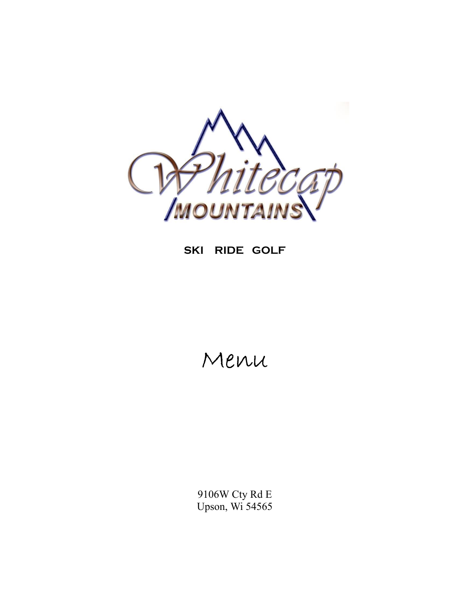

#### SKI RIDE GOLF

## Menu

 $9106\rm{W}$  Cty Rd E Upson, Wi 54565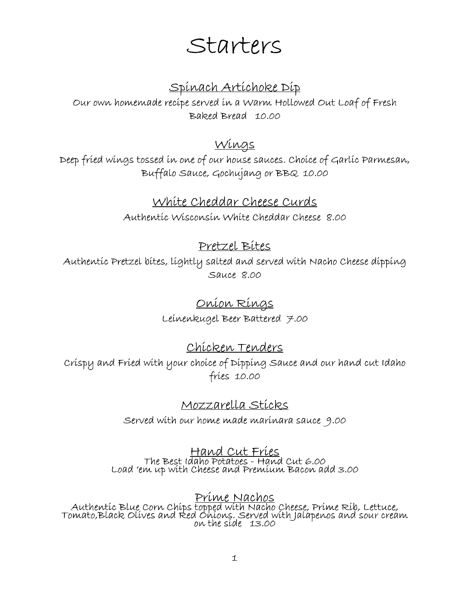## **Starters**

### **Spinach Artichoke Dip**

**Our own homemade recipe served in a Warm Hollowed Out Loaf of Fresh Baked Bread 10.00**

#### **Wings**

**Deep fried wings tossed in one of our house sauces. Choice of Garlic Parmesan, Buffalo Sauce, Gochujang or BBQ 10.00**

#### **White Cheddar Cheese Curds**

**Authentic Wisconsin White Cheddar Cheese 8.00**

#### **Pretzel Bites**

**Authentic Pretzel bites, lightly salted and served with Nacho Cheese dipping Sauce 8.00**

#### **Onion Rings**

**Leinenkugel Beer Battered 7.00**

#### **Chicken Tenders**

**Crispy and Fried with your choice of Dipping Sauce and our hand cut Idaho fries 10.00**

#### **Mozzarella Sticks**

**Served with our home made marinara sauce 9.00**

#### **Hand Cut Fries The Best Idaho Potatoes - Hand Cut 6.00 Load 'em up with Cheese and Premium Bacon add 3.00**

## **Prime Nachos**

**Authentic Blue Corn Chips topped with Nacho Cheese, Prime Rib, Lettuce, Tomato,Black Olives and Red Onions. Served with Jalapenos and sour cream on the side 13.00**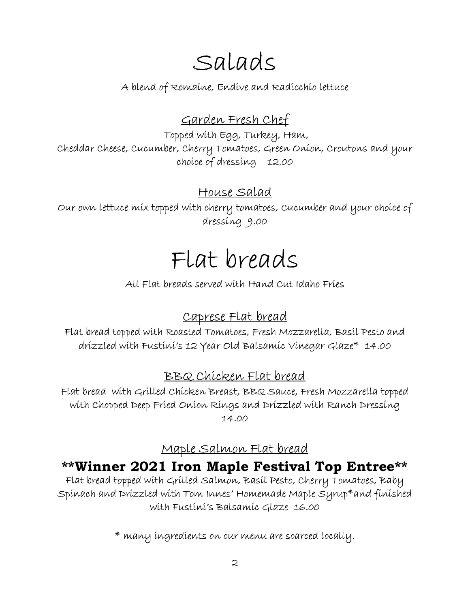# **Salads**

**A blend of Romaine, Endive and Radicchio lettuce**

## **Garden Fresh Chef**

**Topped with Egg, Turkey, Ham, Cheddar Cheese, Cucumber, Cherry Tomatoes, Green Onion, Croutons and your choice of dressing 12.00**

#### **House Salad**

**Our own lettuce mix topped with cherry tomatoes, Cucumber and your choice of dressing 9.00**

# **Flat breads**

**All Flat breads served with Hand Cut Idaho Fries**

## **Caprese Flat bread**

**Flat bread topped with Roasted Tomatoes, Fresh Mozzarella, Basil Pesto and drizzled with Fustini's 12 Year Old Balsamic Vinegar Glaze\* 14.00**

## **BBQ Chicken Flat bread**

**Flat bread with Grilled Chicken Breast, BBQ Sauce, Fresh Mozzarella topped with Chopped Deep Fried Onion Rings and Drizzled with Ranch Dressing 14.00**

## **Maple Salmon Flat bread**

## **\*\*Winner 2021 Iron Maple Festival Top Entree\*\***

**Flat bread topped with Grilled Salmon, Basil Pesto, Cherry Tomatoes, Baby Spinach and Drizzled with Tom Innes' Homemade Maple Syrup\*and finished with Fustini's Balsamic Glaze 16.00**

**\* many ingredients on our menu are soarced locally.**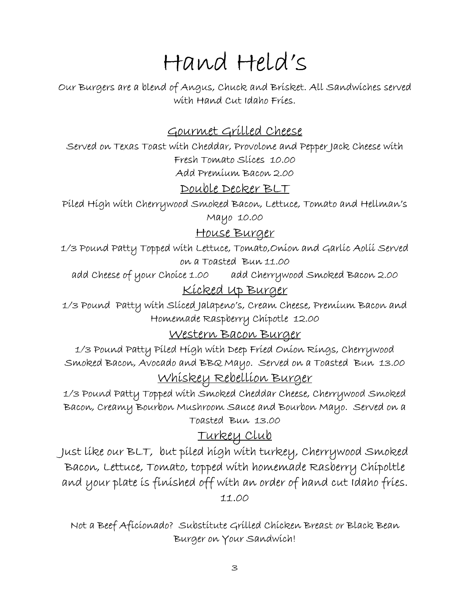# **Hand Held's**

**Our Burgers are a blend of Angus, Chuck and Brisket. All Sandwiches served with Hand Cut Idaho Fries.**

#### **Gourmet Grilled Cheese**

**Served on Texas Toast with Cheddar, Provolone and Pepper Jack Cheese with Fresh Tomato Slices 10.00 Add Premium Bacon 2.00**

#### **Double Decker BLT**

**Piled High with Cherrywood Smoked Bacon, Lettuce, Tomato and Hellman's Mayo 10.00**

#### **House Burger**

**1/3 Pound Patty Topped with Lettuce, Tomato,Onion and Garlic Aolii Served on a Toasted Bun 11.00**

**add Cheese of your Choice 1.00 add Cherrywood Smoked Bacon 2.00**

#### **Kicked Up Burger**

**1/3 Pound Patty with Sliced Jalapeno's, Cream Cheese, Premium Bacon and Homemade Raspberry Chipotle 12.00**

#### **Western Bacon Burger**

**1/3 Pound Patty Piled High with Deep Fried Onion Rings, Cherrywood Smoked Bacon, Avocado and BBQ Mayo. Served on a Toasted Bun 13.00**

#### **Whiskey Rebellion Burger**

**1/3 Pound Patty Topped with Smoked Cheddar Cheese, Cherrywood Smoked Bacon, Creamy Bourbon Mushroom Sauce and Bourbon Mayo. Served on a Toasted Bun 13.00**

#### **Turkey Club**

**Just like our BLT, but piled high with turkey, Cherrywood Smoked Bacon, Lettuce, Tomato, topped with homemade Rasberry Chipoltle and your plate is finished off with an order of hand cut Idaho fries. 11.00**

**Not a Beef Aficionado? Substitute Grilled Chicken Breast or Black Bean Burger on Your Sandwich!**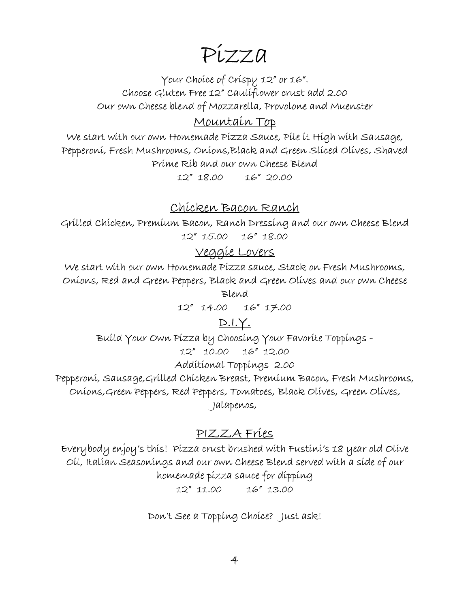## **Pizza**

**Your Choice of Crispy 12" or 16". Choose Gluten Free 12" Cauliflower crust add 2.00 Our own Cheese blend of Mozzarella, Provolone and Muenster**

#### **Mountain Top**

**We start with our own Homemade Pizza Sauce, Pile it High with Sausage, Pepperoni, Fresh Mushrooms, Onions,Black and Green Sliced Olives, Shaved Prime Rib and our own Cheese Blend 12" 18.00 16" 20.00**

#### **Chicken Bacon Ranch**

**Grilled Chicken, Premium Bacon, Ranch Dressing and our own Cheese Blend 12" 15.00 16" 18.00**

#### **Veggie Lovers**

**We start with our own Homemade Pizza sauce, Stack on Fresh Mushrooms, Onions, Red and Green Peppers, Black and Green Olives and our own Cheese**

**Blend**

**12" 14.00 16" 17.00**

#### **D.I.Y.**

**Build Your Own Pizza by Choosing Your Favorite Toppings -**

**12" 10.00 16" 12.00**

**Additional Toppings 2.00**

**Pepperoni, Sausage,Grilled Chicken Breast, Premium Bacon, Fresh Mushrooms, Onions,Green Peppers, Red Peppers, Tomatoes, Black Olives, Green Olives, Jalapenos,**

#### **PIZZA Fries**

**Everybody enjoy's this! Pizza crust brushed with Fustini's 18 year old Olive Oil, Italian Seasonings and our own Cheese Blend served with a side of our homemade pizza sauce for dipping**

**12" 11.00 16" 13.00**

**Don't See a Topping Choice? Just ask!**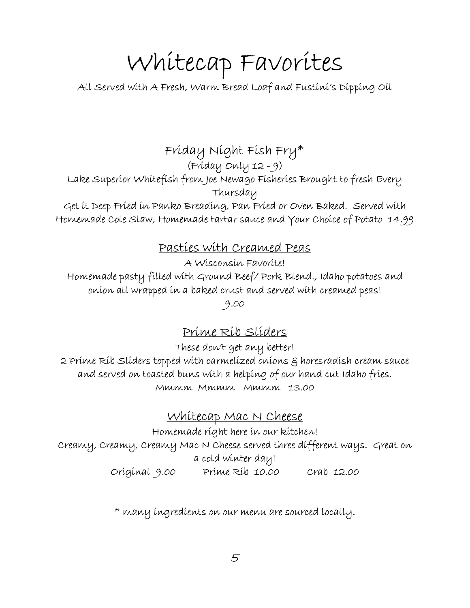# **Whitecap Favorites**

**All Served with A Fresh, Warm Bread Loaf and Fustini's Dipping Oil**

**Friday Night Fish Fry\***

**(Friday Only 12 - 9)**

**Lake Superior Whitefish from Joe Newago Fisheries Brought to fresh Every Thursday**

**Get it Deep Fried in Panko Breading, Pan Fried or Oven Baked. Served with Homemade Cole Slaw, Homemade tartar sauce and Your Choice of Potato 14.99**

#### **Pasties with Creamed Peas**

**A Wisconsin Favorite!**

**Homemade pasty filled with Ground Beef/ Pork Blend., Idaho potatoes and onion all wrapped in a baked crust and served with creamed peas!**

**9.00**

## **Prime Rib Sliders**

**These don't get any better!**

**2 Prime Rib Sliders topped with carmelized onions & horesradish cream sauce and served on toasted buns with a helping of our hand cut Idaho fries. Mmmm Mmmm Mmmm 13.00**

#### **Whitecap Mac N Cheese**

**Homemade right here in our kitchen! Creamy, Creamy, Creamy Mac N Cheese served three different ways. Great on a cold winter day! Original 9.00 Prime Rib 10.00 Crab 12.00**

**\* many ingredients on our menu are sourced locally.**